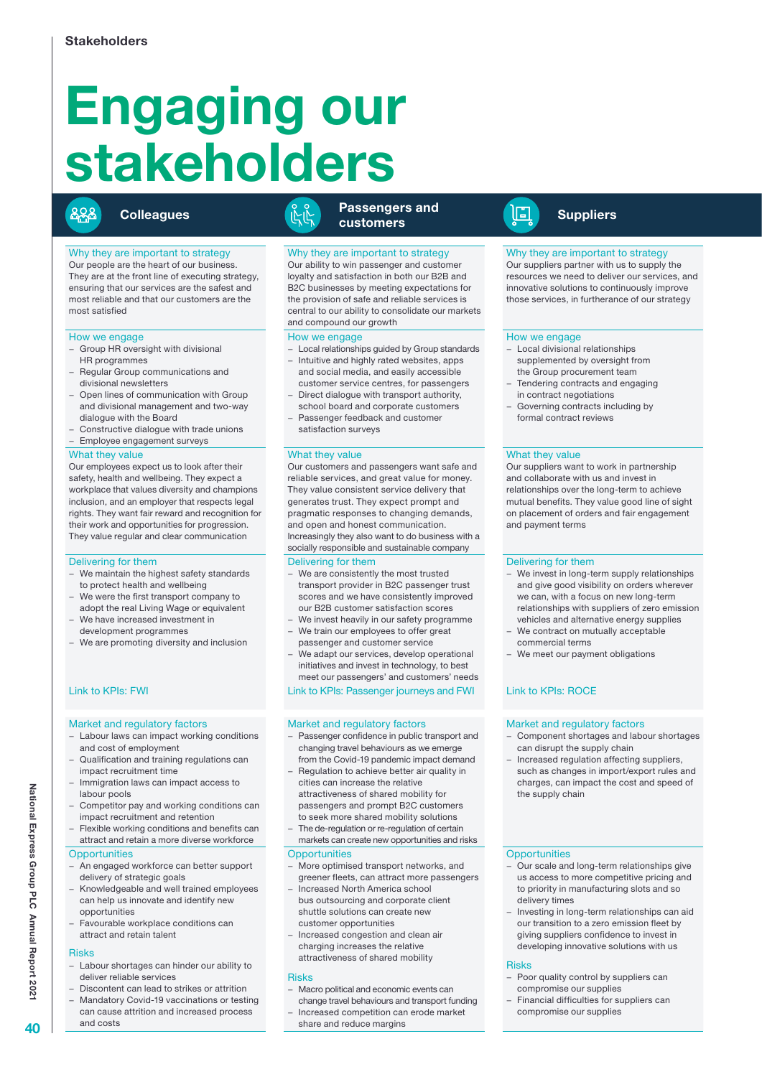# Engaging our stakeholders

### Why they are important to strategy

Our people are the heart of our business. They are at the front line of executing strategy, ensuring that our services are the safest and most reliable and that our customers are the most satisfied

### How we engage

- − Group HR oversight with divisional
- HR programmes − Regular Group communications and
- divisional newsletters − Open lines of communication with Group
- and divisional management and two-way dialogue with the Board
- Constructive dialogue with trade unions
- − Employee engagement surveys

### What they value

Our employees expect us to look after their safety, health and wellbeing. They expect a workplace that values diversity and champions inclusion, and an employer that respects legal rights. They want fair reward and recognition for their work and opportunities for progression. They value regular and clear communication

### Delivering for them

- − We maintain the highest safety standards to protect health and wellbeing
- − We were the first transport company to adopt the real Living Wage or equivalent
- We have increased investment in development programmes
- We are promoting diversity and inclusion

### Market and regulatory factors

- − Labour laws can impact working conditions and cost of employment
- Qualification and training regulations can impact recruitment time
- Immigration laws can impact access to labour pools
- Competitor pay and working conditions can impact recruitment and retention
- Flexible working conditions and benefits can attract and retain a more diverse workforce

### **Opportunities**

- − An engaged workforce can better support delivery of strategic goals
- Knowledgeable and well trained employees can help us innovate and identify new opportunities
- − Favourable workplace conditions can attract and retain talent

### **Risks**

- Labour shortages can hinder our ability to deliver reliable services
- − Discontent can lead to strikes or attrition
- Mandatory Covid-19 vaccinations or testing can cause attrition and increased process and costs

### **Colleagues Passengers and** customers

### Why they are important to strategy

Our ability to win passenger and customer loyalty and satisfaction in both our B2B and B2C businesses by meeting expectations for the provision of safe and reliable services is central to our ability to consolidate our markets and compound our growth

### How we engage

- − Local relationships guided by Group standards
- − Intuitive and highly rated websites, apps and social media, and easily accessible customer service centres, for passengers
- Direct dialogue with transport authority, school board and corporate customers
- − Passenger feedback and customer satisfaction surveys

### What they value

Our customers and passengers want safe and reliable services, and great value for money. They value consistent service delivery that generates trust. They expect prompt and pragmatic responses to changing demands, and open and honest communication. Increasingly they also want to do business with a socially responsible and sustainable company

### Delivering for them

- We are consistently the most trusted transport provider in B2C passenger trust scores and we have consistently improved our B2B customer satisfaction scores
- We invest heavily in our safety programme We train our employees to offer great
- passenger and customer service We adapt our services, develop operational
- initiatives and invest in technology, to best meet our passengers' and customers' needs

Link to KPIs: FWI Link to KPIs: Passenger journeys and FWI Link to KPIs: ROCE

### Market and regulatory factors

- Passenger confidence in public transport and changing travel behaviours as we emerge from the Covid-19 pandemic impact demand
- Regulation to achieve better air quality in cities can increase the relative attractiveness of shared mobility for passengers and prompt B2C customers to seek more shared mobility solutions
- The de-regulation or re-regulation of certain markets can create new opportunities and risks

### **Opportunities**

- ↑<br>More optimised transport networks, and greener fleets, can attract more passengers
- − Increased North America school bus outsourcing and corporate client shuttle solutions can create new customer opportunities
- charging increases the relative attractiveness of shared mobility

### Risks

- − Macro political and economic events can change travel behaviours and transport funding
- − Increased competition can erode market
- share and reduce margins

### 回 **Suppliers**

### Why they are important to strategy

Our suppliers partner with us to supply the resources we need to deliver our services, and innovative solutions to continuously improve those services, in furtherance of our strategy

### How we engage

- − Local divisional relationships supplemented by oversight from the Group procurement team
- Tendering contracts and engaging in contract negotiations
- Governing contracts including by formal contract reviews

### What they value

Our suppliers want to work in partnership and collaborate with us and invest in relationships over the long-term to achieve mutual benefits. They value good line of sight on placement of orders and fair engagement and payment terms

### Delivering for them

- We invest in long-term supply relationships and give good visibility on orders wherever we can, with a focus on new long-term relationships with suppliers of zero emission vehicles and alternative energy supplies
- We contract on mutually acceptable commercial terms
- We meet our payment obligations

### Market and regulatory factors

- − Component shortages and labour shortages can disrupt the supply chain
- Increased regulation affecting suppliers, such as changes in import/export rules and charges, can impact the cost and speed of the supply chain

### **Opportunities**

- − Our scale and long-term relationships give us access to more competitive pricing and to priority in manufacturing slots and so delivery times
- − Investing in long-term relationships can aid our transition to a zero emission fleet by giving suppliers confidence to invest in developing innovative solutions with us

### Risks

- Poor quality control by suppliers can compromise our supplies
- Financial difficulties for suppliers can

Annual Report 2021

National Express Group PLC

National Express Group PLC Annual Report 202

- 
- − Increased congestion and clean air
	- - compromise our supplies